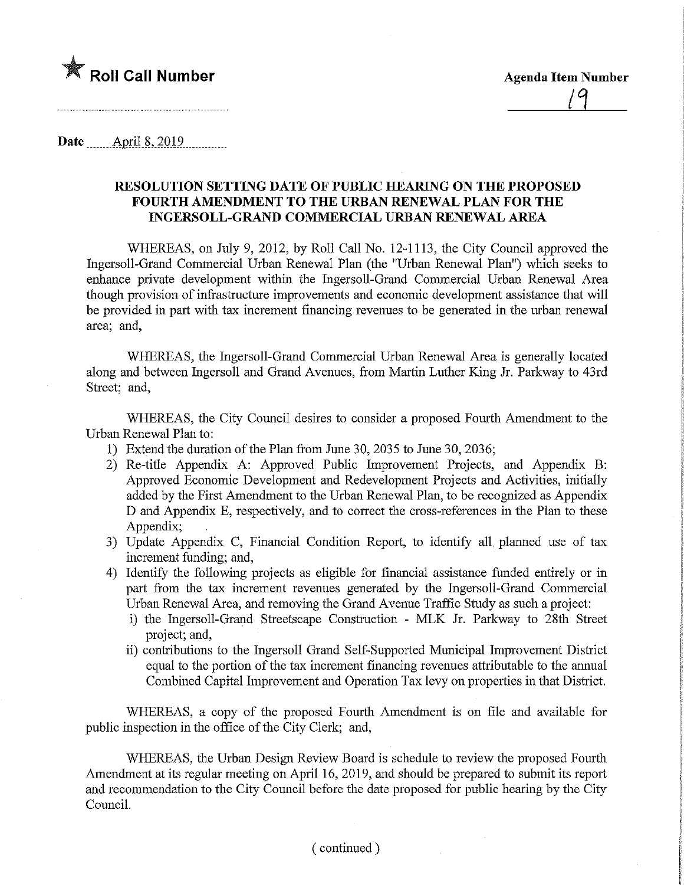

Date........Apnl.8,.2Q19

## RESOLUTION SETTmG DATE OF PUBLIC HEARING ON THE PROPOSED FOURTH AMENDMENT TO THE URBAN RENEWAL PLAN FOR THE INGERSOLL-GRAND COMMERCIAL URBAN RENEWAL AREA

WHEREAS, on July 9, 2012, by Roll Call No. 12-1113, the City Council approved the Ingersoll-Grand Commercial Urban Renewal Plan (the "Urban Renewal Plan") which seeks to enhance private development within the Ingersoll-Grand Commercial Urban Renewal Area though provision of infrastructure improvements and economic development assistance that will be provided in part with tax increment financing revenues to be generated in the urban renewal area; and,

WHEREAS, the Ingersoll-Grand Commercial Urban Renewal Area is generally located along and between Ingersoll and Grand Avenues, from Martin Luther King Jr. Parkway to 43rd Street; and,

WHEREAS, the City Council desires to consider a proposed Fourth Amendment to the Urban Renewal Plan to;

- 1) Extend the duration of the Plan from June 30, 2035 to June 30, 2036;
- 2) Re-title Appendix A: Approved Public Improvement Projects, and Appendix B: Approved Economic Development and Redevelopment Projects and Activities, initially added by the First Amendment to the Urban Renewal Plan, to be recognized as Appendix D and Appendix E, respectively, and to correct the cross-references in the Plan to these Appendix;
- 3) Update Appendix C, Financial Condition Report, to identify all, planned use of tax increment funding; and,
- 4) Identify the following projects as eligible for financial assistance funded entirely or in part from the tax increment revenues generated by the Ingersoll-Grand Commercial Urban Renewal Area, and removing the Grand Avenue Traffic Study as such a project:
	- i) the Ingersoll-Grand Streetscape Construction MLK Jr. Parkway to 28th Street project; and,
	- ii) contributions to the Ingersoll Grand Self-Supported Municipal Improvement District equal to the portion of the tax increment financing revenues attributable to the annual Combined Capital Improvement and Operation Tax levy on properties in that District.

WHEREAS, a copy of the proposed Fourth Amendment is on file and available for public inspection in the office of the City Clerk; and,

WHEREAS, the Urban Design Review Board is schedule to review the proposed Fourth Amendment at its regular meeting on April 16, 2019, and should be prepared to submit its report and recommendation to the City Council before the date proposed for public hearing by the City Council.